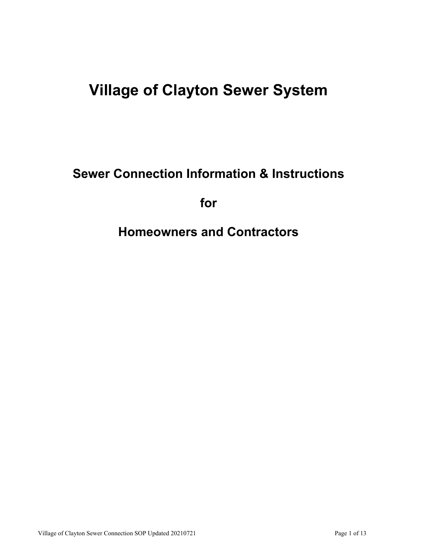# **Village of Clayton Sewer System**

**Sewer Connection Information & Instructions** 

**for** 

**Homeowners and Contractors**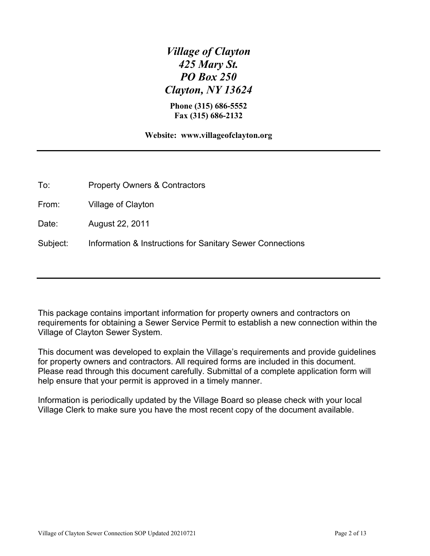*Village of Clayton 425 Mary St. PO Box 250 Clayton, NY 13624* 

**Phone (315) 686-5552 Fax (315) 686-2132** 

**Website: www.villageofclayton.org**

To: Property Owners & Contractors

From: Village of Clayton

Date: August 22, 2011

Subject: Information & Instructions for Sanitary Sewer Connections

This package contains important information for property owners and contractors on requirements for obtaining a Sewer Service Permit to establish a new connection within the Village of Clayton Sewer System.

This document was developed to explain the Village's requirements and provide guidelines for property owners and contractors. All required forms are included in this document. Please read through this document carefully. Submittal of a complete application form will help ensure that your permit is approved in a timely manner.

Information is periodically updated by the Village Board so please check with your local Village Clerk to make sure you have the most recent copy of the document available.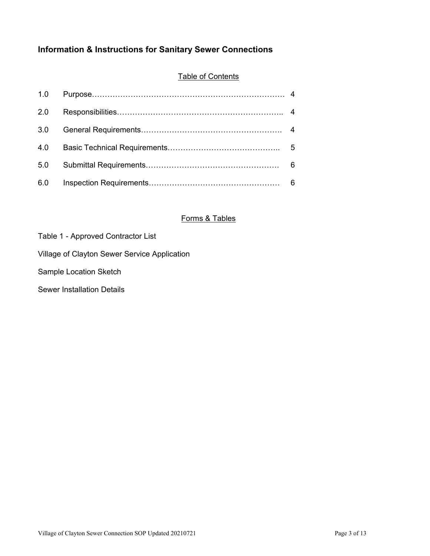# **Information & Instructions for Sanitary Sewer Connections**

## **Table of Contents**

| 2.0 |  |
|-----|--|
| 3.0 |  |
| 4.0 |  |
| 5.0 |  |
| 6.0 |  |

## Forms & Tables

| Village of Clayton Sewer Service Application |  |
|----------------------------------------------|--|
|                                              |  |

Sample Location Sketch

Sewer Installation Details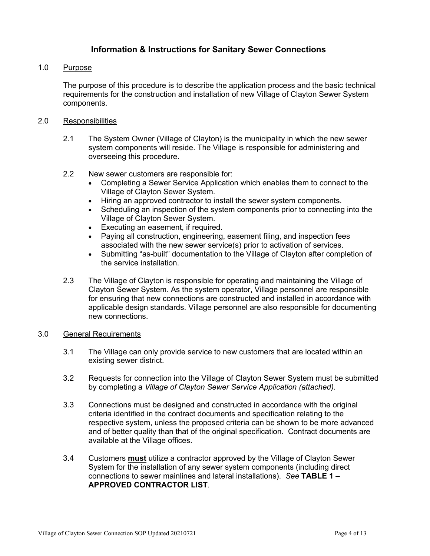## **Information & Instructions for Sanitary Sewer Connections**

#### 1.0 Purpose

The purpose of this procedure is to describe the application process and the basic technical requirements for the construction and installation of new Village of Clayton Sewer System components.

#### 2.0 Responsibilities

- 2.1 The System Owner (Village of Clayton) is the municipality in which the new sewer system components will reside. The Village is responsible for administering and overseeing this procedure.
- 2.2 New sewer customers are responsible for:
	- Completing a Sewer Service Application which enables them to connect to the Village of Clayton Sewer System.
	- Hiring an approved contractor to install the sewer system components.
	- Scheduling an inspection of the system components prior to connecting into the Village of Clayton Sewer System.
	- Executing an easement, if required.
	- Paying all construction, engineering, easement filing, and inspection fees associated with the new sewer service(s) prior to activation of services.
	- Submitting "as-built" documentation to the Village of Clayton after completion of the service installation.
- 2.3 The Village of Clayton is responsible for operating and maintaining the Village of Clayton Sewer System. As the system operator, Village personnel are responsible for ensuring that new connections are constructed and installed in accordance with applicable design standards. Village personnel are also responsible for documenting new connections.

#### 3.0 General Requirements

- 3.1 The Village can only provide service to new customers that are located within an existing sewer district.
- 3.2 Requests for connection into the Village of Clayton Sewer System must be submitted by completing a *Village of Clayton Sewer Service Application (attached)*.
- 3.3 Connections must be designed and constructed in accordance with the original criteria identified in the contract documents and specification relating to the respective system, unless the proposed criteria can be shown to be more advanced and of better quality than that of the original specification. Contract documents are available at the Village offices.
- 3.4 Customers **must** utilize a contractor approved by the Village of Clayton Sewer System for the installation of any sewer system components (including direct connections to sewer mainlines and lateral installations). *See* **TABLE 1 – APPROVED CONTRACTOR LIST**.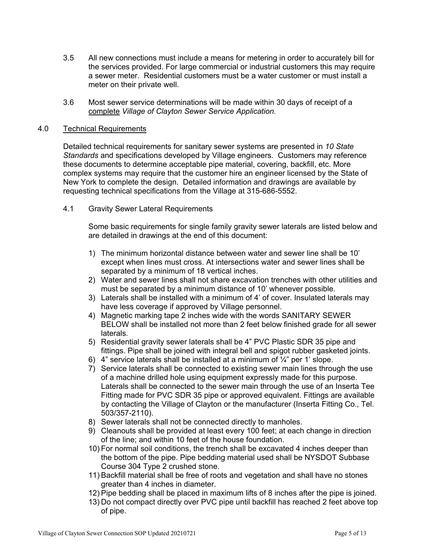- 3.5 All new connections must include a means for metering in order to accurately bill for the services provided. For large commercial or industrial customers this may require a sewer meter. Residential customers must be a water customer or must install a meter on their private well.
- 3.6 Most sewer service determinations will be made within 30 days of receipt of a complete *Village of Clayton Sewer Service Application.*

#### 4.0 Technical Requirements

Detailed technical requirements for sanitary sewer systems are presented in *10 State Standards* and specifications developed by Village engineers*.* Customers may reference these documents to determine acceptable pipe material, covering, backfill, etc. More complex systems may require that the customer hire an engineer licensed by the State of New York to complete the design. Detailed information and drawings are available by requesting technical specifications from the Village at 315-686-5552.

4.1 Gravity Sewer Lateral Requirements

Some basic requirements for single family gravity sewer laterals are listed below and are detailed in drawings at the end of this document:

- 1) The minimum horizontal distance between water and sewer line shall be 10' except when lines must cross. At intersections water and sewer lines shall be separated by a minimum of 18 vertical inches.
- 2) Water and sewer lines shall not share excavation trenches with other utilities and must be separated by a minimum distance of 10' whenever possible.
- 3) Laterals shall be installed with a minimum of 4' of cover. Insulated laterals may have less coverage if approved by Village personnel.
- 4) Magnetic marking tape 2 inches wide with the words SANITARY SEWER BELOW shall be installed not more than 2 feet below finished grade for all sewer laterals.
- 5) Residential gravity sewer laterals shall be 4" PVC Plastic SDR 35 pipe and fittings. Pipe shall be joined with integral bell and spigot rubber gasketed joints.
- 6) 4" service laterals shall be installed at a minimum of  $\frac{1}{4}$ " per 1' slope.
- 7) Service laterals shall be connected to existing sewer main lines through the use of a machine drilled hole using equipment expressly made for this purpose. Laterals shall be connected to the sewer main through the use of an Inserta Tee Fitting made for PVC SDR 35 pipe or approved equivalent. Fittings are available by contacting the Village of Clayton or the manufacturer (Inserta Fitting Co., Tel. 503/357-2110).
- 8) Sewer laterals shall not be connected directly to manholes.
- 9) Cleanouts shall be provided at least every 100 feet; at each change in direction of the line; and within 10 feet of the house foundation.
- 10) For normal soil conditions, the trench shall be excavated 4 inches deeper than the bottom of the pipe. Pipe bedding material used shall be NYSDOT Subbase Course 304 Type 2 crushed stone.
- 11) Backfill material shall be free of roots and vegetation and shall have no stones greater than 4 inches in diameter.
- 12) Pipe bedding shall be placed in maximum lifts of 8 inches after the pipe is joined.
- 13) Do not compact directly over PVC pipe until backfill has reached 2 feet above top of pipe.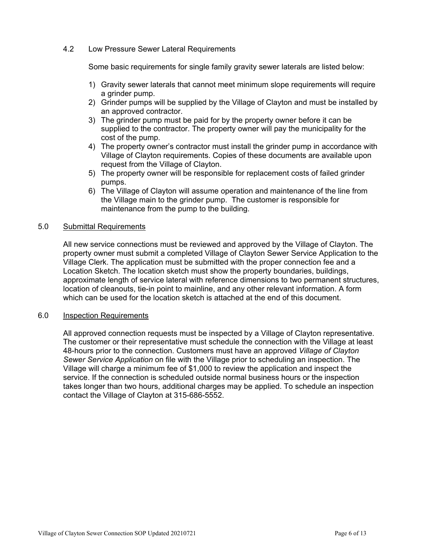#### 4.2 Low Pressure Sewer Lateral Requirements

Some basic requirements for single family gravity sewer laterals are listed below:

- 1) Gravity sewer laterals that cannot meet minimum slope requirements will require a grinder pump.
- 2) Grinder pumps will be supplied by the Village of Clayton and must be installed by an approved contractor.
- 3) The grinder pump must be paid for by the property owner before it can be supplied to the contractor. The property owner will pay the municipality for the cost of the pump.
- 4) The property owner's contractor must install the grinder pump in accordance with Village of Clayton requirements. Copies of these documents are available upon request from the Village of Clayton.
- 5) The property owner will be responsible for replacement costs of failed grinder pumps.
- 6) The Village of Clayton will assume operation and maintenance of the line from the Village main to the grinder pump. The customer is responsible for maintenance from the pump to the building.

#### 5.0 Submittal Requirements

All new service connections must be reviewed and approved by the Village of Clayton. The property owner must submit a completed Village of Clayton Sewer Service Application to the Village Clerk. The application must be submitted with the proper connection fee and a Location Sketch. The location sketch must show the property boundaries, buildings, approximate length of service lateral with reference dimensions to two permanent structures, location of cleanouts, tie-in point to mainline, and any other relevant information. A form which can be used for the location sketch is attached at the end of this document.

#### 6.0 Inspection Requirements

All approved connection requests must be inspected by a Village of Clayton representative. The customer or their representative must schedule the connection with the Village at least 48-hours prior to the connection. Customers must have an approved *Village of Clayton Sewer Service Application* on file with the Village prior to scheduling an inspection. The Village will charge a minimum fee of \$1,000 to review the application and inspect the service. If the connection is scheduled outside normal business hours or the inspection takes longer than two hours, additional charges may be applied. To schedule an inspection contact the Village of Clayton at 315-686-5552.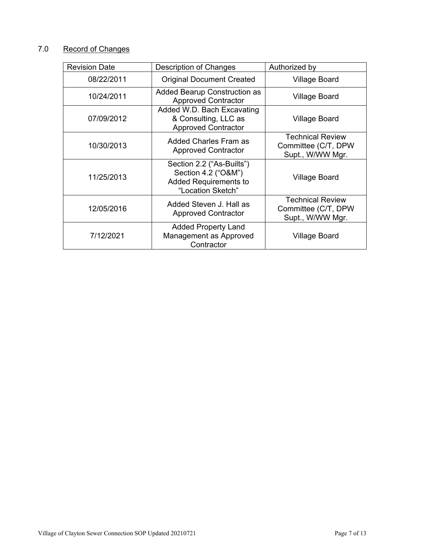# 7.0 Record of Changes

| <b>Revision Date</b> | Description of Changes                                                                                | Authorized by                                                      |
|----------------------|-------------------------------------------------------------------------------------------------------|--------------------------------------------------------------------|
| 08/22/2011           | <b>Original Document Created</b>                                                                      | <b>Village Board</b>                                               |
| 10/24/2011           | <b>Added Bearup Construction as</b><br><b>Approved Contractor</b>                                     | Village Board                                                      |
| 07/09/2012           | Added W.D. Bach Excavating<br>& Consulting, LLC as<br><b>Approved Contractor</b>                      | Village Board                                                      |
| 10/30/2013           | Added Charles Fram as<br><b>Approved Contractor</b>                                                   | <b>Technical Review</b><br>Committee (C/T, DPW<br>Supt., W/WW Mgr. |
| 11/25/2013           | Section 2.2 ("As-Builts")<br>Section 4.2 ("O&M")<br><b>Added Requirements to</b><br>"Location Sketch" | Village Board                                                      |
| 12/05/2016           | Added Steven J. Hall as<br><b>Approved Contractor</b>                                                 | <b>Technical Review</b><br>Committee (C/T, DPW<br>Supt., W/WW Mgr. |
| 7/12/2021            | <b>Added Property Land</b><br>Management as Approved<br>Contractor                                    | Village Board                                                      |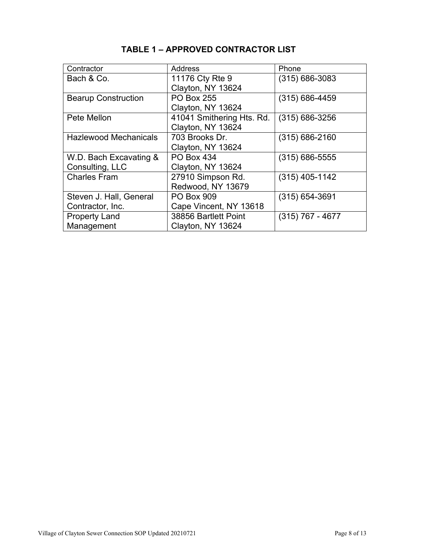| Contractor                   | Address                   | Phone              |
|------------------------------|---------------------------|--------------------|
| Bach & Co.                   | 11176 Cty Rte 9           | $(315) 686 - 3083$ |
|                              | Clayton, NY 13624         |                    |
| <b>Bearup Construction</b>   | <b>PO Box 255</b>         | $(315) 686 - 4459$ |
|                              | Clayton, NY 13624         |                    |
| Pete Mellon                  | 41041 Smithering Hts. Rd. | $(315) 686 - 3256$ |
|                              | Clayton, NY 13624         |                    |
| <b>Hazlewood Mechanicals</b> | 703 Brooks Dr.            | $(315) 686 - 2160$ |
|                              | Clayton, NY 13624         |                    |
| W.D. Bach Excavating &       | <b>PO Box 434</b>         | $(315) 686 - 5555$ |
| Consulting, LLC              | Clayton, NY 13624         |                    |
| <b>Charles Fram</b>          | 27910 Simpson Rd.         | $(315)$ 405-1142   |
|                              | Redwood, NY 13679         |                    |
| Steven J. Hall, General      | <b>PO Box 909</b>         | $(315) 654 - 3691$ |
| Contractor, Inc.             | Cape Vincent, NY 13618    |                    |
| <b>Property Land</b>         | 38856 Bartlett Point      | $(315)$ 767 - 4677 |
| Management                   | Clayton, NY 13624         |                    |

# **TABLE 1 – APPROVED CONTRACTOR LIST**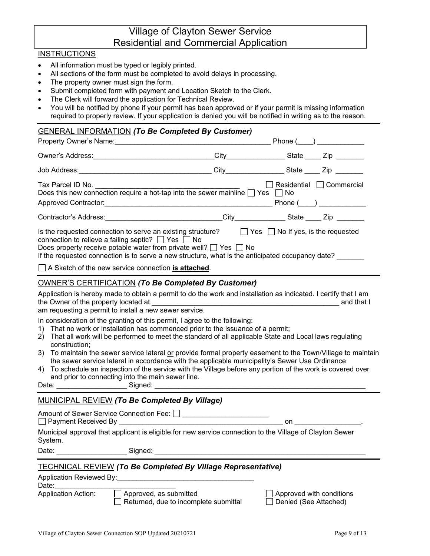# Village of Clayton Sewer Service Residential and Commercial Application

#### **INSTRUCTIONS**

- All information must be typed or legibly printed.
- All sections of the form must be completed to avoid delays in processing.
- The property owner must sign the form.
- Submit completed form with payment and Location Sketch to the Clerk.
- The Clerk will forward the application for Technical Review.
- You will be notified by phone if your permit has been approved or if your permit is missing information required to properly review. If your application is denied you will be notified in writing as to the reason.

#### GENERAL INFORMATION *(To Be Completed By Customer)*

| Property Owner's Name: Manner And All Annual Annual Annual Annual Annual Annual Annual Annual Annual Annual An                                                                                                                                                                                                                                               |  | Phone $(\_)$                                                                                                                                                                                                                                                                                       |  |  |
|--------------------------------------------------------------------------------------------------------------------------------------------------------------------------------------------------------------------------------------------------------------------------------------------------------------------------------------------------------------|--|----------------------------------------------------------------------------------------------------------------------------------------------------------------------------------------------------------------------------------------------------------------------------------------------------|--|--|
|                                                                                                                                                                                                                                                                                                                                                              |  | _City_________________State _____ Zip ________                                                                                                                                                                                                                                                     |  |  |
|                                                                                                                                                                                                                                                                                                                                                              |  | City___________________State ______ Zip ________                                                                                                                                                                                                                                                   |  |  |
| Does this new connection require a hot-tap into the sewer mainline $\Box$ Yes $\Box$ No                                                                                                                                                                                                                                                                      |  | $\Box$ Residential $\Box$ Commercial<br>$Phone($ and $)$ and $()$ and $()$ and $()$ and $()$ and $()$ and $()$ and $()$ and $()$ and $()$ and $()$ and $()$ and $()$ and $()$ and $()$ and $()$ and $()$ and $()$ and $()$ and $()$ and $()$ and $()$ and $()$ and $()$ and $()$ and $()$ and $()$ |  |  |
| Contractor's Address: Contractor of Address:                                                                                                                                                                                                                                                                                                                 |  | _City_______________State _____ Zip _______                                                                                                                                                                                                                                                        |  |  |
| Is the requested connection to serve an existing structure? $\Box$ Yes $\Box$ No If yes, is the requested<br>connection to relieve a failing septic? $\Box$ Yes $\Box$ No<br>Does property receive potable water from private well? $\Box$ Yes $\Box$ No<br>If the requested connection is to serve a new structure, what is the anticipated occupancy date? |  |                                                                                                                                                                                                                                                                                                    |  |  |
| $\vert \ \vert$ A Sketch of the new service connection is attached.                                                                                                                                                                                                                                                                                          |  |                                                                                                                                                                                                                                                                                                    |  |  |
| <b>OWNER'S CERTIFICATION (To Be Completed By Customer)</b>                                                                                                                                                                                                                                                                                                   |  |                                                                                                                                                                                                                                                                                                    |  |  |

Application is hereby made to obtain a permit to do the work and installation as indicated. I certify that I am the Owner of the property located at  $\Box$ 

am requesting a permit to install a new sewer service.

In consideration of the granting of this permit, I agree to the following:

- 1) That no work or installation has commenced prior to the issuance of a permit;
- 2) That all work will be performed to meet the standard of all applicable State and Local laws regulating construction;
- 3) To maintain the sewer service lateral or provide formal property easement to the Town/Village to maintain the sewer service lateral in accordance with the applicable municipality's Sewer Use Ordinance
- 4) To schedule an inspection of the service with the Village before any portion of the work is covered over and prior to connecting into the main sewer line.

Date: etc. and a signed:  $\Box$ 

#### MUNICIPAL REVIEW *(To Be Completed By Village)*

Amount of Sewer Service Connection Fee:  $\Box$ 

□ Payment Received By Zero and the set of the set of the set of the set of the set of the set of the set of the set of the set of the set of the set of the set of the set of the set of the set of the set of the set of the

Municipal approval that applicant is eligible for new service connection to the Village of Clayton Sewer System.

Date: \_\_\_\_\_\_\_\_\_\_\_\_\_\_\_\_\_\_\_\_\_\_\_\_\_\_\_\_\_\_\_\_\_Signed: \_

#### TECHNICAL REVIEW *(To Be Completed By Village Representative)*

| Application Reviewed By: |  |  |
|--------------------------|--|--|
|                          |  |  |

 ${\sf Date:}$ 

| <b>Application Action:</b> | Approved, as submitted | Approved with conditions |
|----------------------------|------------------------|--------------------------|

□ Returned, due to incomplete submittal □ Denied (See Attached)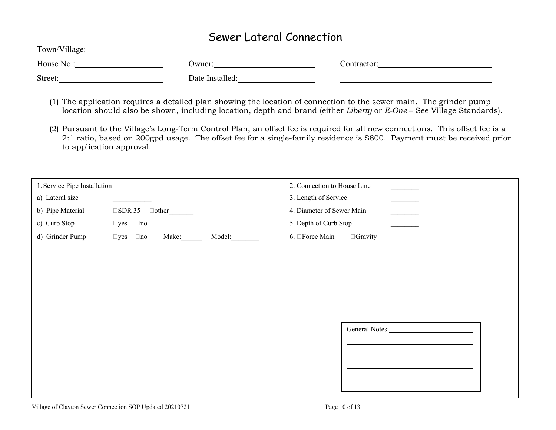# Sewer Lateral Connection

| Town/Village: |                 |             |
|---------------|-----------------|-------------|
| House No.:    | Jwner:          | Contractor: |
| Street:       | Date Installed: |             |

- (1) The application requires a detailed plan showing the location of connection to the sewer main. The grinder pump location should also be shown, including location, depth and brand (either *Liberty* or *E-One* – See Village Standards).
- (2) Pursuant to the Village's Long-Term Control Plan, an offset fee is required for all new connections. This offset fee is a 2:1 ratio, based on 200gpd usage. The offset fee for a single-family residence is \$800. Payment must be received prior to application approval.

| 1. Service Pipe Installation |                                               | 2. Connection to House Line |
|------------------------------|-----------------------------------------------|-----------------------------|
| a) Lateral size              |                                               | 3. Length of Service        |
| b) Pipe Material             | $\Box$ SDR 35<br>$\Box$ other                 | 4. Diameter of Sewer Main   |
| c) Curb Stop                 | $\Box$ no<br>$\square$ yes                    | 5. Depth of Curb Stop       |
| d) Grinder Pump              | Make:<br>Model:<br>$\square$ yes<br>$\Box$ no | 6. □Force Main<br>□ Gravity |
|                              |                                               |                             |
|                              |                                               |                             |
|                              |                                               |                             |
|                              |                                               |                             |
|                              |                                               |                             |
|                              |                                               |                             |
|                              |                                               | General Notes:              |
|                              |                                               |                             |
|                              |                                               |                             |
|                              |                                               |                             |
|                              |                                               |                             |
|                              |                                               |                             |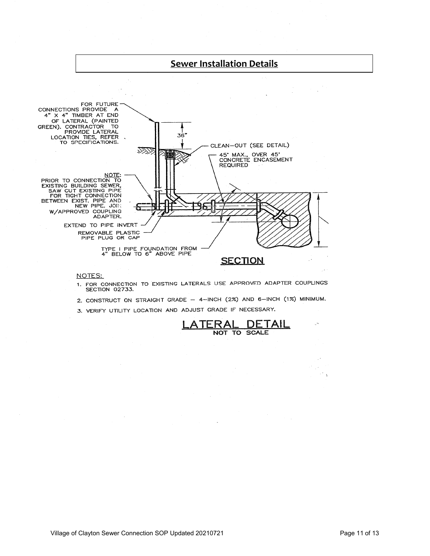

- 1. FOR CONNECTION TO EXISTING LATERALS USE APPROVED ADAPTER COUPLINGS SECTION 02733.
- 2. CONSTRUCT ON STRAIGHT GRADE 4-INCH (2%) AND 6-INCH (1%) MINIMUM.
- 3. VERIFY UTILITY LOCATION AND ADJUST GRADE IF NECESSARY.



 $\sim$  $\bar{3}$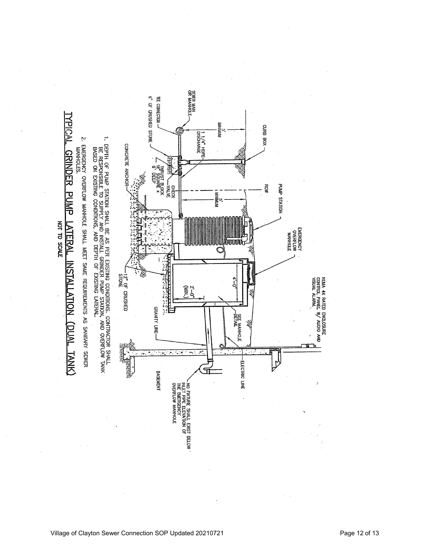